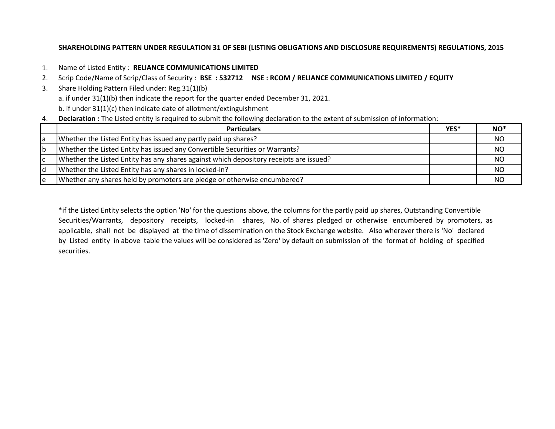# **SHAREHOLDING PATTERN UNDER REGULATION 31 OF SEBI (LISTING OBLIGATIONS AND DISCLOSURE REQUIREMENTS) REGULATIONS, 2015**

- 1. Name of Listed Entity : **RELIANCE COMMUNICATIONS LIMITED**
- 2. Scrip Code/Name of Scrip/Class of Security : **BSE : 532712 NSE : RCOM / RELIANCE COMMUNICATIONS LIMITED / EQUITY**
- 3. Share Holding Pattern Filed under: Reg.31(1)(b)
	- a. if under 31(1)(b) then indicate the report for the quarter ended December 31, 2021.
	- b. if under 31(1)(c) then indicate date of allotment/extinguishment
- 4. **Declaration :** The Listed entity is required to submit the following declaration to the extent of submission of information:

|    | <b>Particulars</b>                                                                     | YES* | $NO^*$    |
|----|----------------------------------------------------------------------------------------|------|-----------|
|    | Whether the Listed Entity has issued any partly paid up shares?                        |      | <b>NO</b> |
| ۱b | Whether the Listed Entity has issued any Convertible Securities or Warrants?           |      | NO.       |
|    | Whether the Listed Entity has any shares against which depository receipts are issued? |      | ΝO        |
| d  | Whether the Listed Entity has any shares in locked-in?                                 |      | ΝO        |
| ١e | Whether any shares held by promoters are pledge or otherwise encumbered?               |      | NO        |

\*if the Listed Entity selects the option 'No' for the questions above, the columns for the partly paid up shares, Outstanding Convertible Securities/Warrants, depository receipts, locked-in shares, No. of shares pledged or otherwise encumbered by promoters, as applicable, shall not be displayed at the time of dissemination on the Stock Exchange website. Also wherever there is 'No' declared by Listed entity in above table the values will be considered as 'Zero' by default on submission of the format of holding of specified securities.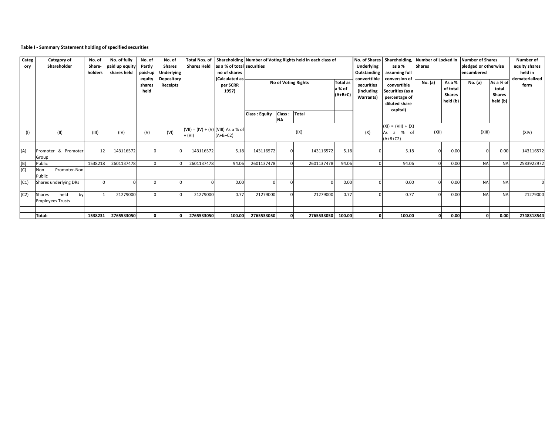## **Table I - Summary Statement holding of specified securities**

| Categ<br>ory | Category of<br>Shareholder                      | No. of<br>Share-<br>holders | No. of fully<br>paid up equity<br>shares held | No. of<br>Partly<br>paid-up<br>equity<br>shares<br>held | No. of<br><b>Shares</b><br><b>Jnderlying</b><br>Depository<br>Receipts | <b>Shares Held</b>                              | as a % of total securities<br>no of shares<br>(Calculated as<br>per SCRR<br>1957) |                      | Total Nos. of Shareholding Number of Voting Rights held in each class of<br>No of Voting Rights | <b>Total as</b><br>a % of<br>$(A+B+C)$ | No. of Shares<br>Underlying<br>Outstanding<br>converttible<br>securities<br>(Including<br>Warrants) | Shareholding, Number of Locked in Number of Shares<br>as a %<br>assuming full<br>conversion of<br>convertible<br>Securities (as a<br>percentage of<br>diluted share<br>capital) | <b>Shares</b><br>No. (a) | As a %<br>of total<br><b>Shares</b><br>held (b) | pledged or otherwise<br>encumbered<br>No. (a) | As a % of<br>total<br><b>Shares</b><br>held (b) | Number of<br>equity shares<br>held in<br>dematerialized<br>form |            |
|--------------|-------------------------------------------------|-----------------------------|-----------------------------------------------|---------------------------------------------------------|------------------------------------------------------------------------|-------------------------------------------------|-----------------------------------------------------------------------------------|----------------------|-------------------------------------------------------------------------------------------------|----------------------------------------|-----------------------------------------------------------------------------------------------------|---------------------------------------------------------------------------------------------------------------------------------------------------------------------------------|--------------------------|-------------------------------------------------|-----------------------------------------------|-------------------------------------------------|-----------------------------------------------------------------|------------|
|              |                                                 |                             |                                               |                                                         |                                                                        |                                                 |                                                                                   | <b>Class: Equity</b> | Class:<br><b>NA</b>                                                                             | Total                                  |                                                                                                     |                                                                                                                                                                                 |                          |                                                 |                                               |                                                 |                                                                 |            |
| (1)          | (II)                                            | (III)                       | (IV)                                          | (V)                                                     | (VI)                                                                   | $(VII) = (IV) + (V) (VIII)$ As a % of<br>+ (VI) | $(A+B+C2)$                                                                        |                      | (IX)                                                                                            |                                        | (X)                                                                                                 | $(XI) = (VII) + (X)$<br>% of<br>As<br>a<br>$(A+B+C2)$                                                                                                                           | (XII)                    |                                                 | (XIII)                                        |                                                 | (XIV)                                                           |            |
| (A)          | Promoter & Promoter                             | 12                          | 143116572                                     |                                                         |                                                                        | 143116572                                       | 5.18                                                                              | 143116572            | $\Omega$                                                                                        | 143116572                              | 5.18                                                                                                |                                                                                                                                                                                 | 5.18                     |                                                 | 0.00                                          | $\Omega$                                        | 0.00                                                            | 143116572  |
| (B)          | Group<br>Public                                 | 1538218                     | 2601137478                                    |                                                         |                                                                        | 2601137478                                      | 94.06                                                                             | 2601137478           |                                                                                                 | 2601137478                             | 94.06                                                                                               |                                                                                                                                                                                 | 94.06                    |                                                 | 0.00                                          | <b>NA</b>                                       | <b>NA</b>                                                       | 2583922972 |
| (C)          | Promoter-Non<br>Non<br>Public                   |                             |                                               |                                                         |                                                                        |                                                 |                                                                                   |                      |                                                                                                 |                                        |                                                                                                     |                                                                                                                                                                                 |                          |                                                 |                                               |                                                 |                                                                 |            |
| (C1)         | Shares underlying DRs                           |                             |                                               |                                                         |                                                                        |                                                 | 0.00                                                                              |                      |                                                                                                 | $\Omega$                               | 0.00                                                                                                |                                                                                                                                                                                 | 0.00                     |                                                 | 0.00                                          | <b>NA</b>                                       | <b>NA</b>                                                       |            |
| (C2)         | held<br>Shares<br>by<br><b>Employees Trusts</b> |                             | 21279000                                      |                                                         |                                                                        | 21279000                                        | 0.77                                                                              | 21279000             |                                                                                                 | 21279000                               | 0.77                                                                                                |                                                                                                                                                                                 | 0.77                     |                                                 | 0.00                                          | <b>NA</b>                                       | <b>NA</b>                                                       | 21279000   |
|              |                                                 |                             |                                               |                                                         |                                                                        |                                                 |                                                                                   |                      |                                                                                                 |                                        |                                                                                                     |                                                                                                                                                                                 |                          |                                                 |                                               |                                                 |                                                                 |            |
|              | Total:                                          | 1538231                     | 2765533050                                    |                                                         |                                                                        | 2765533050                                      |                                                                                   | 100.00 2765533050    |                                                                                                 | 2765533050 100.00                      |                                                                                                     |                                                                                                                                                                                 | 100.00                   |                                                 | 0.00                                          | $\mathbf 0$                                     | 0.00                                                            | 2748318544 |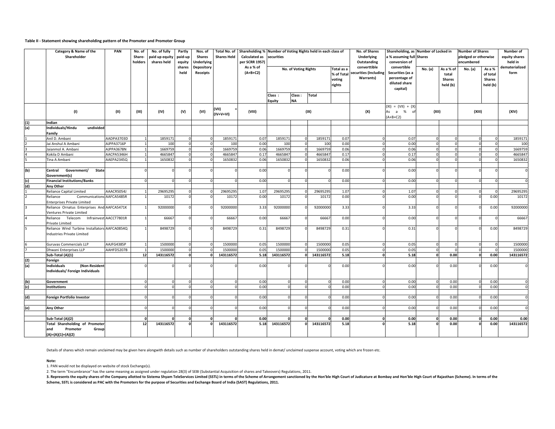#### **Table II - Statement showing shareholding pattern of the Promoter and Promoter Group**

|                | Category & Name of the<br>Shareholder                                       |                        | No. of<br>Share-<br>holders | No. of fully<br>paid up equity<br>shares held | Partly<br>paid-up<br>equity | Nos. of<br>Shares<br><b>Jnderlying</b> | Total No. of<br><b>Shares Held</b> | Shareholding % Number of Voting Rights held in each class of<br><b>Calculated as</b><br>per SCRR 1957) | securities       |                      |              |                                              | No. of Shares<br>Underlying<br>Outstanding         | Shareholding, as Number of Locked in<br>a % assuming full Shares<br>conversion of |          |                                                 | <b>Number of Shares</b><br>pledged or otherwise<br>encumbered |                                                 | <b>Number of</b><br>equity shares<br>held in |
|----------------|-----------------------------------------------------------------------------|------------------------|-----------------------------|-----------------------------------------------|-----------------------------|----------------------------------------|------------------------------------|--------------------------------------------------------------------------------------------------------|------------------|----------------------|--------------|----------------------------------------------|----------------------------------------------------|-----------------------------------------------------------------------------------|----------|-------------------------------------------------|---------------------------------------------------------------|-------------------------------------------------|----------------------------------------------|
|                |                                                                             |                        |                             |                                               | shares<br>held              | Depository<br>Receipts                 |                                    | As a % of<br>$(A+B+C2)$                                                                                |                  | No. of Voting Rights |              | Total as a<br>% of Total<br>voting<br>rights | converttible<br>securities (Including<br>Warrants) | convertible<br>Securities (as a<br>percentage of<br>diluted share<br>capital)     | No. (a)  | As a % of<br>total<br><b>Shares</b><br>held (b) | No. (a)                                                       | As a %<br>of total<br><b>Shares</b><br>held (b) | dematerialized<br>form                       |
|                |                                                                             |                        |                             |                                               |                             |                                        |                                    |                                                                                                        | Class:<br>Equity | Class:<br><b>NA</b>  | <b>Total</b> |                                              |                                                    |                                                                                   |          |                                                 |                                                               |                                                 |                                              |
|                | (1)                                                                         | (II)                   | (III)                       | (IV)                                          | (V)                         | (VI)                                   | (VII)<br>$(IV+V+VI)$               | (VIII)                                                                                                 |                  |                      | (IX)         |                                              | (X)                                                | $(XI) = (VII) + (X)$<br>As a % of<br>$(A+B+C2)$                                   | (XII)    |                                                 | (XIII)                                                        |                                                 | (XIV)                                        |
| (1)            | Indian                                                                      |                        |                             |                                               |                             |                                        |                                    |                                                                                                        |                  |                      |              |                                              |                                                    |                                                                                   |          |                                                 |                                                               |                                                 |                                              |
| (a)            | Individuals/Hindu<br>undivided<br>Family                                    |                        |                             |                                               |                             |                                        |                                    |                                                                                                        |                  |                      |              |                                              |                                                    |                                                                                   |          |                                                 |                                                               |                                                 |                                              |
|                | Anil D. Ambani                                                              | AADPA3703D             |                             | 1859171                                       | $\overline{0}$              |                                        | 185917                             | 0.07                                                                                                   | 1859171          |                      | 1859171      | 0.07                                         |                                                    | 0.07                                                                              | $\Omega$ |                                                 | $\Omega$                                                      |                                                 | 1859171                                      |
|                | Jai Anshul A Ambani                                                         | AJPPA3716P             |                             | 100                                           |                             |                                        | 100                                | 0.00                                                                                                   | 100              |                      | 100          | 0.00                                         |                                                    | 0.00                                                                              | $\Omega$ |                                                 |                                                               |                                                 | 100                                          |
|                | Jaianmol A. Ambani                                                          | AJPPA3678N             |                             | 1669759                                       | $\mathbf 0$                 |                                        | 1669759                            | 0.06                                                                                                   | 1669759          |                      | 1669759      | 0.06                                         |                                                    | 0.06                                                                              |          |                                                 |                                                               |                                                 | 1669759                                      |
|                | Kokila D Ambani                                                             | AACPA5346H             |                             | 4665847                                       | $\mathbf 0$                 |                                        | 4665847                            | 0.17                                                                                                   | 4665847          |                      | 4665847      | 0.17                                         |                                                    | 0.17                                                                              |          | $\Omega$                                        | $\Omega$                                                      |                                                 | 4665847                                      |
|                | <b>Fina A Ambani</b>                                                        | AAEPA2345Q             |                             | 1650832                                       |                             |                                        | 165083                             | 0.06                                                                                                   | 1650832          |                      | 1650832      | 0.06                                         |                                                    | 0.06                                                                              |          |                                                 |                                                               |                                                 | 1650832                                      |
| (b)            | Central Government/<br><b>State</b><br>Government(s)                        |                        |                             |                                               |                             |                                        |                                    | 0.00                                                                                                   |                  |                      |              | 0.00                                         |                                                    | 0.00                                                                              |          |                                                 |                                                               |                                                 | $\Omega$                                     |
| (c)            | <b>Financial Institutions/Banks</b>                                         |                        |                             |                                               |                             |                                        |                                    | 0.00                                                                                                   |                  |                      |              | 0.00                                         |                                                    | 0.00                                                                              | $\Omega$ |                                                 |                                                               |                                                 | $\mathbf 0$                                  |
| $\frac{d}{1}$  | Any Other                                                                   |                        |                             |                                               |                             |                                        |                                    |                                                                                                        |                  |                      |              |                                              |                                                    |                                                                                   |          |                                                 |                                                               |                                                 |                                              |
|                | Reliance Capital Limited                                                    | AAACR5054J             |                             | 29695295                                      |                             |                                        | 2969529                            | 1.07                                                                                                   | 29695295         |                      | 29695295     | 1.07                                         |                                                    | 1.07                                                                              | $\Omega$ |                                                 |                                                               |                                                 | 29695295                                     |
| $\overline{2}$ | Communications AAFCA5485R<br>Reliance<br><b>Enterprises Private Limited</b> |                        |                             | 10172                                         | $\Omega$                    |                                        | 10172                              | 0.00                                                                                                   | 10172            |                      | 10172        | 0.00                                         |                                                    | 0.00                                                                              |          |                                                 |                                                               | 0.00                                            | 10172                                        |
| $\overline{3}$ | Reliance Ornatus Enterprises And AAFCA5471K<br>Ventures Private Limited     |                        |                             | 92000000                                      |                             |                                        | 92000000                           | 3.33                                                                                                   | 92000000         |                      | 92000000     | 3.33                                         |                                                    | 3.33                                                                              |          |                                                 |                                                               | 0.00                                            | 92000000                                     |
| $\overline{4}$ | Reliance Telecom<br>Private Limited                                         | Infrainvest AACCT7801R |                             | 66667                                         |                             |                                        | 66667                              | 0.00                                                                                                   | 66667            |                      | 66667        | 0.00                                         |                                                    | 0.00                                                                              |          |                                                 |                                                               |                                                 | 66667                                        |
| 5              | Reliance Wind Turbine Installators AAFCA0854Q<br>Industries Private Limited |                        |                             | 8498729                                       |                             |                                        | 8498729                            | 0.31                                                                                                   | 8498729          |                      | 8498729      | 0.31                                         |                                                    | 0.31                                                                              |          |                                                 |                                                               | 0.00                                            | 8498729                                      |
|                | <b>Guruvas Commercials LLP</b>                                              | AAJFG4385P             |                             | 1500000                                       | $\Omega$                    |                                        | 1500000                            | 0.05                                                                                                   | 1500000          |                      | 1500000      | 0.05                                         |                                                    | 0.05                                                                              | $\Omega$ |                                                 |                                                               |                                                 | 1500000                                      |
| $\frac{6}{7}$  | Dhwani Enterprises LLP                                                      | AAHFD5207B             |                             | 1500000                                       | $\mathbf 0$                 |                                        | 150000                             | 0.05                                                                                                   | 1500000          |                      | 1500000      | 0.05                                         |                                                    | 0.05                                                                              |          |                                                 |                                                               |                                                 | 1500000                                      |
|                | Sub-Total (A)(1)                                                            |                        | 12                          | 143116572                                     | o                           |                                        | 143116572                          | 5.18                                                                                                   | 143116572        | f.                   | 143116572    | 5.18                                         |                                                    | 5.18                                                                              | $\Omega$ | 0.00                                            | $\Omega$                                                      | 0.00                                            | 143116572                                    |
| (2)            | Foreign                                                                     |                        |                             |                                               |                             |                                        |                                    |                                                                                                        |                  |                      |              |                                              |                                                    |                                                                                   |          |                                                 |                                                               |                                                 |                                              |
| (a)            | <b>Individuals</b><br>(Non-Resident<br>Individuals/ Foreign Individuals     |                        |                             |                                               |                             |                                        |                                    | 0.00                                                                                                   |                  |                      |              | 0.00                                         |                                                    | 0.00                                                                              |          | 0.00                                            |                                                               | 0.00                                            | $\Omega$                                     |
| (b)            | Government                                                                  |                        |                             |                                               |                             |                                        |                                    | 0.00                                                                                                   |                  |                      |              | 0.00                                         |                                                    | 0.00                                                                              |          | 0.00                                            |                                                               | 0.00                                            | $\Omega$                                     |
| (c)            | <b>Institutions</b>                                                         |                        |                             |                                               |                             |                                        |                                    | 0.00                                                                                                   |                  |                      |              | 0.00                                         |                                                    | 0.00                                                                              |          | 0.00                                            |                                                               | 0.00                                            | $\Omega$                                     |
|                |                                                                             |                        |                             |                                               |                             |                                        |                                    |                                                                                                        |                  |                      |              |                                              |                                                    |                                                                                   |          |                                                 |                                                               |                                                 |                                              |
| (d)            | Foreign Portfolio Investor                                                  |                        |                             |                                               |                             |                                        |                                    | 0.00                                                                                                   |                  |                      |              | 0.00                                         |                                                    | 0.00                                                                              | $\Omega$ | 0.00                                            |                                                               | 0.00                                            | $\mathbf 0$                                  |
|                |                                                                             |                        |                             |                                               |                             |                                        |                                    |                                                                                                        |                  |                      |              |                                              |                                                    |                                                                                   |          |                                                 |                                                               |                                                 |                                              |
| (e)            | Any Other                                                                   |                        |                             |                                               |                             |                                        |                                    | 0.00                                                                                                   |                  |                      |              | 0.00                                         |                                                    | 0.00                                                                              |          | 0.00                                            |                                                               | 0.00                                            | $\Omega$                                     |
|                | Sub-Total (A)(2)                                                            |                        |                             |                                               |                             |                                        |                                    | 0.00                                                                                                   |                  |                      |              | 0.00                                         |                                                    | 0.00                                                                              | O        | 0.00                                            |                                                               | 0.00                                            | 0.00                                         |
|                | <b>Total Shareholding of Promoter</b>                                       |                        | 12                          | 143116572                                     |                             |                                        | 143116572                          | 5.18                                                                                                   | 143116572        |                      | 143116572    | 5.18                                         |                                                    | 5.18                                                                              |          | 0.00                                            |                                                               | 0.00                                            | 143116572                                    |
|                | and<br>Promoter<br>Group<br>$(A)=(A)(1)+(A)(2)$                             |                        |                             |                                               |                             |                                        |                                    |                                                                                                        |                  |                      |              |                                              |                                                    |                                                                                   |          |                                                 |                                                               |                                                 |                                              |

Details of shares which remain unclaimed may be given here alongwith details such as number of shareholders outstanding shares held in demat/ unclaimed suspense account, voting which are frozen etc.

#### **Note:**

1. PAN would not be displayed on website of stock Exchange(s).

2. The term "Encumbrance" has the same meaning as assigned under regulation 28(3) of SEBI (Substantial Acquisition of shares and Takeovers) Regulations, 2011.

3. Represents the equity shares of the Company allotted to Sistema Shyam TeleServices Limited (SSTL) in terms of the Scheme of Arrangement sanctioned by the Hon'ble High Court of Judicature at Bombay and Hon'ble High Court **Scheme, SSTL is considered as PAC with the Promoters for the purpose of Securities and Exchange Board of India (SAST) Regulations, 2011.**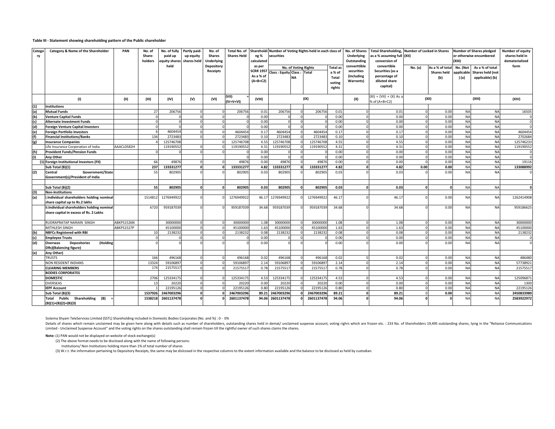#### **Table III - Statement showing shareholding pattern of the Public shareholder**

| Catego<br>ry | Category & Name of the Shareholder                                            | PAN        | No. of<br>Share-<br>holders | No. of fully<br>paid up<br>quity shares | Partly paid-<br>up equity<br>shares held | No. of<br><b>Shares</b><br>Underlying | Total No. of<br><b>Shares Held</b> | ng %<br>calculated                      | Shareholdi Number of Voting Rights held in each class of<br>securities |                                   |            | No. of Shares<br>Underlying<br>Outstanding | Total Shareholding, Number of Locked in Shares<br>as a % assuming full (XII)<br>conversion of |                                                  |          | (XIII)                                       | <b>Number of Shares pledged</b><br>or otherwise encumbered | Number of equity<br>shares held in<br>dematerialized   |            |
|--------------|-------------------------------------------------------------------------------|------------|-----------------------------|-----------------------------------------|------------------------------------------|---------------------------------------|------------------------------------|-----------------------------------------|------------------------------------------------------------------------|-----------------------------------|------------|--------------------------------------------|-----------------------------------------------------------------------------------------------|--------------------------------------------------|----------|----------------------------------------------|------------------------------------------------------------|--------------------------------------------------------|------------|
|              |                                                                               |            |                             | held                                    |                                          | Depository<br><b>Receipts</b>         |                                    | as per<br><b>SCRR 1957</b><br>As a % of | Class : Equity Class : Total                                           | No. of Voting Rights<br><b>NA</b> |            | <b>Total</b> as<br>a % of<br><b>Total</b>  | converttible<br>securities<br>(Including                                                      | convertible<br>Securities (as a<br>percentage of | No. (a)  | As a % of total<br><b>Shares held</b><br>(b) | No. (Not<br>applicable<br>) (a)                            | As a % of total<br>Shares held (not<br>applicable) (b) | form       |
|              |                                                                               |            |                             |                                         |                                          |                                       |                                    | $(A+B+C2)$                              |                                                                        |                                   |            | voting<br>rights                           | Warrants)                                                                                     | diluted share<br>capital)                        |          |                                              |                                                            |                                                        |            |
|              | (1)                                                                           | (II)       | (III)                       | (IV)                                    | (V)                                      | (VI)                                  | (VII)<br>$(IV+V+VI)$               | (VIII)                                  |                                                                        |                                   | (IX)       |                                            | (X)                                                                                           | $(XI) = (VII) + (X) As a$<br>6 of (A+B+C2)       |          | (X  )                                        |                                                            | (XIII)                                                 | (XIV)      |
| (1)          | Institutions                                                                  |            |                             |                                         |                                          |                                       |                                    |                                         |                                                                        |                                   |            |                                            |                                                                                               |                                                  |          |                                              |                                                            |                                                        |            |
| (a)          | <b>Mutual Funds</b>                                                           |            | 27                          | 20675                                   |                                          |                                       | 206756                             | 0.01                                    | 206756                                                                 | $\Omega$                          | 206756     | 0.01                                       |                                                                                               | 0.01                                             | $\Omega$ | 0.00                                         | <b>NA</b>                                                  | <b>NA</b>                                              | 16505      |
| (b)          | <b>Venture Capital Funds</b>                                                  |            | - 0                         |                                         |                                          |                                       | $\Omega$                           | 0.00                                    |                                                                        | $\Omega$                          |            | 0.00                                       |                                                                                               | 0.00                                             | $\Omega$ | 0.00                                         | <b>NA</b>                                                  | <b>NA</b>                                              |            |
| (c)          | <b>Alternate Investment Funds</b>                                             |            | - 0                         |                                         |                                          |                                       |                                    | 0.00                                    |                                                                        | $\Omega$                          |            | 0.00                                       |                                                                                               | 0.00                                             | $\Omega$ | 0.00                                         | <b>NA</b>                                                  | <b>NA</b>                                              |            |
| (d)          | <b>Foreign Venture Capital Investors</b>                                      |            |                             |                                         |                                          |                                       |                                    | 0.00                                    |                                                                        |                                   |            | 0.00                                       |                                                                                               | 0.00                                             | $\Omega$ | 0.00                                         | <b>NA</b>                                                  | <b>NA</b>                                              |            |
| (e)          | Foreign Portfolio Investors                                                   |            |                             | 460445                                  |                                          |                                       | 4604454                            | 0.17                                    | 4604454                                                                |                                   | 4604454    | 0.17                                       |                                                                                               | 0.17                                             |          | 0.00                                         | <b>NA</b>                                                  | <b>NA</b>                                              | 4604454    |
| (f)          | <b>Financial Institutions/Banks</b>                                           |            | 134                         | 272348                                  |                                          |                                       | 2723483                            | 0.10                                    | 2723483                                                                |                                   | 272348     | 0.10                                       |                                                                                               | 0.10                                             |          | 0.00                                         | <b>NA</b>                                                  | <b>NA</b>                                              | 2702684    |
| (g)          | <b>Insurance Companies</b>                                                    |            |                             | 12574670                                |                                          |                                       | 125746708                          | 4.55                                    | 125746708                                                              |                                   | 125746708  | 4.55                                       |                                                                                               | 4.55                                             |          | 0.00                                         | <b>NA</b>                                                  | <b>NA</b>                                              | 125746233  |
|              | ife Insurance Corporation of India                                            | AAACL0582H |                             | 11919055                                |                                          |                                       | 119190552                          | 4.31                                    | 119190552                                                              |                                   | 119190552  | 4.31                                       |                                                                                               | 4.31                                             | $\Omega$ | 0.00                                         | <b>NA</b>                                                  | <b>NA</b>                                              | 119190552  |
| (h)          | <b>Provident Funds/Pension Funds</b>                                          |            |                             |                                         |                                          |                                       |                                    | 0.00                                    |                                                                        |                                   |            | 0.00                                       |                                                                                               | 0.00                                             | $\Omega$ | 0.00                                         | <b>NA</b>                                                  | <b>NA</b>                                              |            |
| (i)          | <b>Any Other</b>                                                              |            |                             |                                         |                                          |                                       |                                    | 0.00                                    |                                                                        | $\Omega$                          |            | 0.00                                       |                                                                                               | 0.00                                             | $\Omega$ | 0.00                                         | <b>NA</b>                                                  | <b>NA</b>                                              |            |
|              | Foreign Institutional Investors (FII)                                         |            | 66                          | 4987                                    |                                          |                                       | 49876                              | 0.00                                    | 49876                                                                  | $\Omega$                          | 4987       | 0.00                                       |                                                                                               | 0.00                                             | $\Omega$ | 0.00                                         | <b>NA</b>                                                  | <b>NA</b>                                              | 19116      |
|              | Sub Total (B)(1)                                                              |            | 237                         | 13333127                                |                                          |                                       | 133331277                          | 4.82                                    | 133331277                                                              |                                   | 133331277  | 4.82                                       |                                                                                               | 4.82                                             | 0.00     | 0.00                                         | <b>NA</b>                                                  | <b>NA</b>                                              | 133088992  |
| (2)          | Central<br>Government/State<br>Government(s)/President of India               |            | 55                          | 802905                                  |                                          |                                       | 802905                             | 0.03                                    | 802905                                                                 |                                   | 802905     | 0.03                                       |                                                                                               | 0.03                                             |          | 0.00                                         | <b>NA</b>                                                  | <b>NA</b>                                              |            |
|              | Sub Total (B)(2)                                                              |            | 55                          | 802905                                  |                                          |                                       | 802905                             | 0.03                                    | 802905                                                                 |                                   | 802905     | 0.03                                       |                                                                                               | 0.03                                             |          |                                              | <b>NA</b>                                                  | <b>NA</b>                                              |            |
| (3)          | <b>Non-Institutions</b>                                                       |            |                             |                                         |                                          |                                       |                                    |                                         |                                                                        |                                   |            |                                            |                                                                                               |                                                  |          |                                              |                                                            |                                                        |            |
| (a)          | i.Individual shareholders holding nomina                                      |            | 151481                      | 127694992                               |                                          |                                       | 1276949922                         | 46.17                                   | 1276949922                                                             |                                   | 1276949922 | 46.17                                      |                                                                                               | 46.17                                            |          | 0.00                                         | <b>NA</b>                                                  | <b>NA</b>                                              | 1262414908 |
|              | share capital up to Rs.2 lakhs                                                |            |                             |                                         |                                          |                                       |                                    |                                         |                                                                        |                                   |            |                                            |                                                                                               |                                                  |          |                                              |                                                            |                                                        |            |
|              | ii.Individual shareholders holding nomina                                     |            | 6720                        | 95918703                                |                                          |                                       | 959187039                          | 34.68                                   | 959187039                                                              |                                   | 959187039  | 34.68                                      |                                                                                               | 34.68                                            |          | 0.00                                         | <b>NA</b>                                                  | <b>NA</b>                                              | 959186625  |
|              | share capital in excess of Rs. 2 Lakhs                                        |            |                             |                                         |                                          |                                       |                                    |                                         |                                                                        |                                   |            |                                            |                                                                                               |                                                  |          |                                              |                                                            |                                                        |            |
|              | RUDRAPRATAP NARAIN SINGH                                                      | ABKPS1526N |                             | 3000000                                 |                                          | $\Omega$                              | 30000000                           | 1.08                                    | 3000000                                                                |                                   | 3000000    | 1.08                                       |                                                                                               | 1.08                                             | $\Omega$ | 0.00                                         | <b>NA</b>                                                  | <b>NA</b>                                              | 30000000   |
|              | MITHLESH SINGH                                                                | ABKPS1527P |                             | 4510000                                 |                                          |                                       | 45100000                           | 1.63                                    | 45100000                                                               |                                   | 45100000   | 1.63                                       |                                                                                               | 1.63                                             | $\Omega$ | 0.00                                         | <b>NA</b>                                                  | <b>NA</b>                                              | 45100000   |
| (b)          | <b>NBFCs Registered with RBI</b>                                              |            | 10                          | 213823                                  |                                          |                                       | 2138232                            | 0.08                                    | 2138232                                                                |                                   | 2138232    | 0.08                                       |                                                                                               | 0.08                                             | $\Omega$ | 0.00                                         | <b>NA</b>                                                  | <b>NA</b>                                              | 2138232    |
| (c)          | <b>Employee Trusts</b>                                                        |            |                             |                                         |                                          |                                       |                                    | 0.00                                    |                                                                        |                                   |            | 0.00                                       |                                                                                               | 0.00                                             |          | 0.00                                         | <b>NA</b>                                                  | <b>NA</b>                                              |            |
| (d)          | <b>Depositories</b><br>(Holding<br>Overseas<br><b>DRs)</b> (Balancing figure) |            |                             |                                         |                                          |                                       |                                    | 0.00                                    |                                                                        |                                   |            | 0.00                                       |                                                                                               | 0.00                                             |          | 0.00                                         | <b>NA</b>                                                  | <b>NA</b>                                              |            |
| (e)          | Any Other)                                                                    |            |                             |                                         |                                          |                                       |                                    |                                         |                                                                        |                                   |            |                                            |                                                                                               |                                                  |          |                                              |                                                            |                                                        |            |
|              | <b>TRUSTS</b>                                                                 |            | 166                         | 49616                                   |                                          |                                       | 496168                             | 0.02                                    | 496168                                                                 |                                   | 496168     | 0.02                                       |                                                                                               | 0.02                                             |          | 0.00                                         | <b>NA</b>                                                  | <b>NA</b>                                              | 486480     |
|              | NON RESIDENT INDIANS                                                          |            | 13324                       | 5910689                                 |                                          |                                       | 59106897                           | 2.14                                    | 59106897                                                               |                                   | 59106897   | 2.14                                       |                                                                                               | 2.14                                             |          | 0.00                                         | <b>NA</b>                                                  | <b>NA</b>                                              | 57738921   |
|              | <b>CLEARING MEMBERS</b>                                                       |            | 174                         | 2157551                                 |                                          |                                       | 21575517                           | 0.78                                    | 2157551                                                                |                                   | 2157551    | 0.78                                       |                                                                                               | 0.78                                             |          | 0.00                                         | <b>NA</b>                                                  | <b>NA</b>                                              | 21575517   |
|              | <b>BODIES CORPORATES</b>                                                      |            |                             |                                         |                                          |                                       |                                    |                                         |                                                                        |                                   |            |                                            |                                                                                               |                                                  |          |                                              |                                                            |                                                        |            |
|              | <b>DOMESTIC</b>                                                               |            | 2706                        | 12533417                                |                                          |                                       | 125334175                          | 4.53                                    | 12533417                                                               |                                   | 12533417   | 4.53                                       |                                                                                               | 4.53                                             | $\Omega$ | 0.00                                         | <b>NA</b>                                                  | <b>NA</b>                                              | 12509687   |
|              | <b>OVERSEAS</b>                                                               |            | 13                          | 2022                                    |                                          |                                       | 20220                              | 0.00                                    | 20220                                                                  |                                   | 20220      | 0.00                                       |                                                                                               | 0.00                                             | $\Omega$ | 0.00                                         | <b>NA</b>                                                  | <b>NA</b>                                              | 1300       |
|              | <b>IEPF Account</b>                                                           |            |                             | 2219512                                 |                                          |                                       | 22195126                           | 0.80                                    | 22195126                                                               |                                   | 22195126   | 0.80                                       |                                                                                               | 0.80                                             | $\Omega$ | 0.00                                         | <b>NA</b>                                                  | <b>NA</b>                                              | 22195126   |
|              | Sub Total (B)(3)                                                              |            | 1537926                     | 2467003296                              |                                          |                                       | 2467003296                         | 89.21                                   | 2467003296                                                             |                                   | 2467003296 | 89.21                                      |                                                                                               | 89.21                                            |          | 0.00                                         | <b>NA</b>                                                  | <b>NA</b>                                              | 2450833980 |
|              | Public Shareholding (B)<br>Total<br>$(B)(1)+(B)(2)+(B)(3)$                    |            | 1538218                     | 2601137478                              |                                          |                                       | 2601137478                         | 94.06                                   | 2601137478                                                             |                                   | 2601137478 | 94.06                                      |                                                                                               | 94.06                                            |          |                                              | <b>NA</b>                                                  | <b>NA</b>                                              | 2583922972 |

Sistema Shyam TeleServices Limited (SSTL) Shareholding included in Domestic Bodies Corporates (No. and %) : 0 - 0%

Details of shares which remain unclaimed may be given here along with details such as number of shareholders, outstanding shares held in demat/ unclaimed suspense account, voting righrs which are frozen etc. : 233 No. of S Limited - Unclaimed Suspense Account" and the voting rights on the shares outstanding shall remain frozen till the rightful owner of such shares claims the shares.

**Note:** (1) PAN would not be displayed on website of stock exchange(s)

(2) The above format needs to be disclosed along with the name of following persons:

Institutions/ Non Institutions holding more than 1% of total number of shares

(3) W.r.t. the information pertaining to Depository Receipts, the same may be dislcosed in the respective columns to the extent information available and the balance to be disclosed as held by custodian.